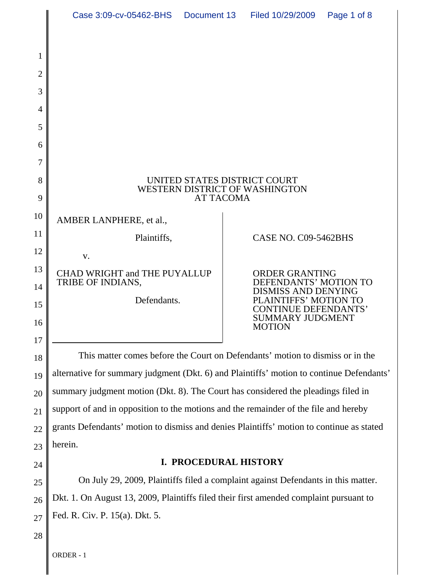|                | Case 3:09-cv-05462-BHS                                                                                                                                                    |                  | Document 13 Filed 10/29/2009                           | Page 1 of 8 |  |
|----------------|---------------------------------------------------------------------------------------------------------------------------------------------------------------------------|------------------|--------------------------------------------------------|-------------|--|
|                |                                                                                                                                                                           |                  |                                                        |             |  |
| 1              |                                                                                                                                                                           |                  |                                                        |             |  |
| $\overline{2}$ |                                                                                                                                                                           |                  |                                                        |             |  |
| 3              |                                                                                                                                                                           |                  |                                                        |             |  |
| 4              |                                                                                                                                                                           |                  |                                                        |             |  |
| 5              |                                                                                                                                                                           |                  |                                                        |             |  |
| 6              |                                                                                                                                                                           |                  |                                                        |             |  |
| 7              |                                                                                                                                                                           |                  |                                                        |             |  |
| 8              | UNITED STATES DISTRICT COURT<br>WESTERN DISTRICT OF WASHINGTON                                                                                                            |                  |                                                        |             |  |
| 9              |                                                                                                                                                                           | <b>AT TACOMA</b> |                                                        |             |  |
| 10             | AMBER LANPHERE, et al.,                                                                                                                                                   |                  |                                                        |             |  |
| 11             | Plaintiffs,                                                                                                                                                               |                  | CASE NO. C09-5462BHS                                   |             |  |
| 12             | V.                                                                                                                                                                        |                  |                                                        |             |  |
| 13             | CHAD WRIGHT and THE PUYALLUP<br>TRIBE OF INDIANS,                                                                                                                         |                  | <b>ORDER GRANTING</b><br>DEFENDANTS' MOTION TO         |             |  |
| 14             | Defendants.                                                                                                                                                               |                  | <b>DISMISS AND DENYING</b><br>PLAINTIFFS' MOTION TO    |             |  |
| 15             |                                                                                                                                                                           |                  | <b>CONTINUE DEFENDANTS'</b><br><b>SUMMARY JUDGMENT</b> |             |  |
| 16             |                                                                                                                                                                           |                  | <b>MOTION</b>                                          |             |  |
| $17\,$         |                                                                                                                                                                           |                  |                                                        |             |  |
| 18             | This matter comes before the Court on Defendants' motion to dismiss or in the<br>alternative for summary judgment (Dkt. 6) and Plaintiffs' motion to continue Defendants' |                  |                                                        |             |  |
| 19             |                                                                                                                                                                           |                  |                                                        |             |  |

20 21 22 23 summary judgment motion (Dkt. 8). The Court has considered the pleadings filed in support of and in opposition to the motions and the remainder of the file and hereby grants Defendants' motion to dismiss and denies Plaintiffs' motion to continue as stated herein.

24

# **I. PROCEDURAL HISTORY**

25 26 27 On July 29, 2009, Plaintiffs filed a complaint against Defendants in this matter. Dkt. 1. On August 13, 2009, Plaintiffs filed their first amended complaint pursuant to Fed. R. Civ. P. 15(a). Dkt. 5.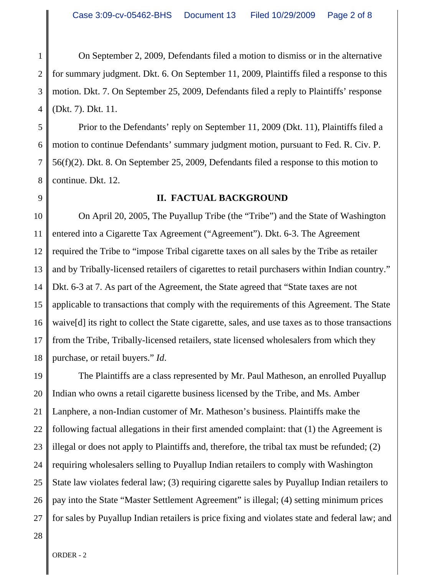1 2 3 4 On September 2, 2009, Defendants filed a motion to dismiss or in the alternative for summary judgment. Dkt. 6. On September 11, 2009, Plaintiffs filed a response to this motion. Dkt. 7. On September 25, 2009, Defendants filed a reply to Plaintiffs' response (Dkt. 7). Dkt. 11.

5 6 7 8 Prior to the Defendants' reply on September 11, 2009 (Dkt. 11), Plaintiffs filed a motion to continue Defendants' summary judgment motion, pursuant to Fed. R. Civ. P. 56(f)(2). Dkt. 8. On September 25, 2009, Defendants filed a response to this motion to continue. Dkt. 12.

# 9

## **II. FACTUAL BACKGROUND**

10 11 12 13 14 15 16 17 18 On April 20, 2005, The Puyallup Tribe (the "Tribe") and the State of Washington entered into a Cigarette Tax Agreement ("Agreement"). Dkt. 6-3. The Agreement required the Tribe to "impose Tribal cigarette taxes on all sales by the Tribe as retailer and by Tribally-licensed retailers of cigarettes to retail purchasers within Indian country." Dkt. 6-3 at 7. As part of the Agreement, the State agreed that "State taxes are not applicable to transactions that comply with the requirements of this Agreement. The State waive[d] its right to collect the State cigarette, sales, and use taxes as to those transactions from the Tribe, Tribally-licensed retailers, state licensed wholesalers from which they purchase, or retail buyers." *Id*.

19 20 21 22 23 24 25 26 27 The Plaintiffs are a class represented by Mr. Paul Matheson, an enrolled Puyallup Indian who owns a retail cigarette business licensed by the Tribe, and Ms. Amber Lanphere, a non-Indian customer of Mr. Matheson's business. Plaintiffs make the following factual allegations in their first amended complaint: that (1) the Agreement is illegal or does not apply to Plaintiffs and, therefore, the tribal tax must be refunded; (2) requiring wholesalers selling to Puyallup Indian retailers to comply with Washington State law violates federal law; (3) requiring cigarette sales by Puyallup Indian retailers to pay into the State "Master Settlement Agreement" is illegal; (4) setting minimum prices for sales by Puyallup Indian retailers is price fixing and violates state and federal law; and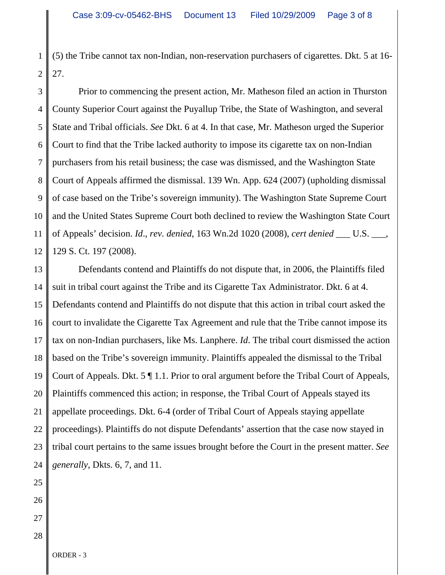1 2 (5) the Tribe cannot tax non-Indian, non-reservation purchasers of cigarettes. Dkt. 5 at 16- 27.

3 4 5 6 7 8 9 10 11 12 Prior to commencing the present action, Mr. Matheson filed an action in Thurston County Superior Court against the Puyallup Tribe, the State of Washington, and several State and Tribal officials. *See* Dkt. 6 at 4. In that case, Mr. Matheson urged the Superior Court to find that the Tribe lacked authority to impose its cigarette tax on non-Indian purchasers from his retail business; the case was dismissed, and the Washington State Court of Appeals affirmed the dismissal. 139 Wn. App. 624 (2007) (upholding dismissal of case based on the Tribe's sovereign immunity). The Washington State Supreme Court and the United States Supreme Court both declined to review the Washington State Court of Appeals' decision. *Id*., *rev. denied*, 163 Wn.2d 1020 (2008), *cert denied* \_\_\_ U.S. \_\_\_, 129 S. Ct. 197 (2008).

13 14 15 16 17 18 19 20 21 22 23 24 Defendants contend and Plaintiffs do not dispute that, in 2006, the Plaintiffs filed suit in tribal court against the Tribe and its Cigarette Tax Administrator. Dkt. 6 at 4. Defendants contend and Plaintiffs do not dispute that this action in tribal court asked the court to invalidate the Cigarette Tax Agreement and rule that the Tribe cannot impose its tax on non-Indian purchasers, like Ms. Lanphere. *Id*. The tribal court dismissed the action based on the Tribe's sovereign immunity. Plaintiffs appealed the dismissal to the Tribal Court of Appeals. Dkt. 5 ¶ 1.1. Prior to oral argument before the Tribal Court of Appeals, Plaintiffs commenced this action; in response, the Tribal Court of Appeals stayed its appellate proceedings. Dkt. 6-4 (order of Tribal Court of Appeals staying appellate proceedings). Plaintiffs do not dispute Defendants' assertion that the case now stayed in tribal court pertains to the same issues brought before the Court in the present matter. *See generally*, Dkts. 6, 7, and 11.

- 25
- 26
- 27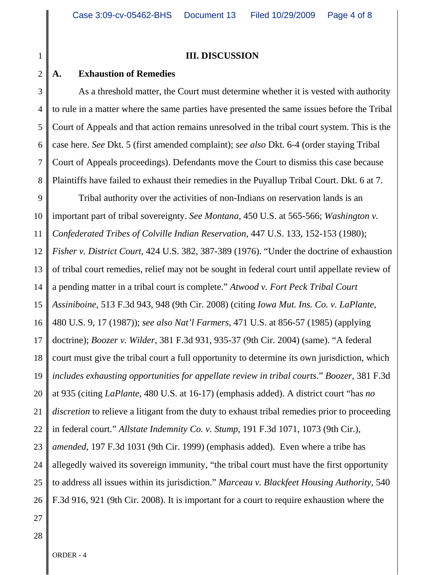1

## **III. DISCUSSION**

#### 2 **A. Exhaustion of Remedies**

3 4 5 6 7 8 As a threshold matter, the Court must determine whether it is vested with authority to rule in a matter where the same parties have presented the same issues before the Tribal Court of Appeals and that action remains unresolved in the tribal court system. This is the case here. *See* Dkt. 5 (first amended complaint); *see also* Dkt. 6-4 (order staying Tribal Court of Appeals proceedings). Defendants move the Court to dismiss this case because Plaintiffs have failed to exhaust their remedies in the Puyallup Tribal Court. Dkt. 6 at 7.

9 10 11 12 13 14 15 16 17 18 19 20 21 22 23 24 25 26 Tribal authority over the activities of non-Indians on reservation lands is an important part of tribal sovereignty. *See Montana,* 450 U.S. at 565-566; *Washington v. Confederated Tribes of Colville Indian Reservation*, 447 U.S. 133, 152-153 (1980); *Fisher v. District Court*, 424 U.S. 382, 387-389 (1976). "Under the doctrine of exhaustion of tribal court remedies, relief may not be sought in federal court until appellate review of a pending matter in a tribal court is complete." *Atwood v. Fort Peck Tribal Court Assiniboine*, 513 F.3d 943, 948 (9th Cir. 2008) (citing *Iowa Mut. Ins. Co. v. LaPlante*, 480 U.S. 9, 17 (1987)); *see also Nat'l Farmers*, 471 U.S. at 856-57 (1985) (applying doctrine); *Boozer v. Wilder*, 381 F.3d 931, 935-37 (9th Cir. 2004) (same). "A federal court must give the tribal court a full opportunity to determine its own jurisdiction, which *includes exhausting opportunities for appellate review in tribal courts*." *Boozer*, 381 F.3d at 935 (citing *LaPlante*, 480 U.S. at 16-17) (emphasis added). A district court "has *no discretion* to relieve a litigant from the duty to exhaust tribal remedies prior to proceeding in federal court." *Allstate Indemnity Co. v. Stump*, 191 F.3d 1071, 1073 (9th Cir.), *amended*, 197 F.3d 1031 (9th Cir. 1999) (emphasis added). Even where a tribe has allegedly waived its sovereign immunity, "the tribal court must have the first opportunity to address all issues within its jurisdiction." *Marceau v. Blackfeet Housing Authority*, 540 F.3d 916, 921 (9th Cir. 2008). It is important for a court to require exhaustion where the

27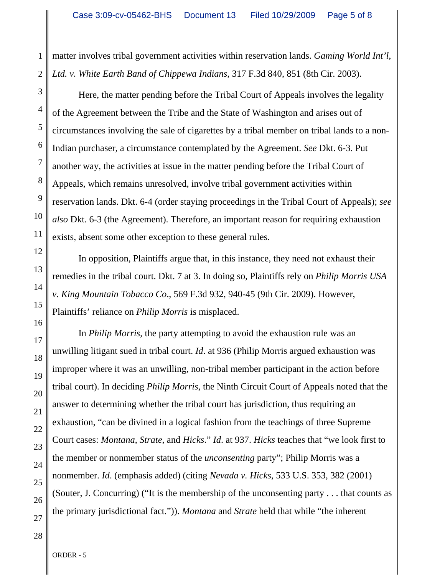1 matter involves tribal government activities within reservation lands. *Gaming World Int'l, Ltd. v. White Earth Band of Chippewa Indians*, 317 F.3d 840, 851 (8th Cir. 2003).

Here, the matter pending before the Tribal Court of Appeals involves the legality of the Agreement between the Tribe and the State of Washington and arises out of circumstances involving the sale of cigarettes by a tribal member on tribal lands to a non-Indian purchaser, a circumstance contemplated by the Agreement. *See* Dkt. 6-3. Put another way, the activities at issue in the matter pending before the Tribal Court of Appeals, which remains unresolved, involve tribal government activities within reservation lands. Dkt. 6-4 (order staying proceedings in the Tribal Court of Appeals); *see also* Dkt. 6-3 (the Agreement). Therefore, an important reason for requiring exhaustion exists, absent some other exception to these general rules.

In opposition, Plaintiffs argue that, in this instance, they need not exhaust their remedies in the tribal court. Dkt. 7 at 3. In doing so, Plaintiffs rely on *Philip Morris USA v. King Mountain Tobacco Co*., 569 F.3d 932, 940-45 (9th Cir. 2009). However, Plaintiffs' reliance on *Philip Morris* is misplaced.

In *Philip Morris*, the party attempting to avoid the exhaustion rule was an unwilling litigant sued in tribal court. *Id*. at 936 (Philip Morris argued exhaustion was improper where it was an unwilling, non-tribal member participant in the action before tribal court). In deciding *Philip Morris*, the Ninth Circuit Court of Appeals noted that the answer to determining whether the tribal court has jurisdiction, thus requiring an exhaustion, "can be divined in a logical fashion from the teachings of three Supreme Court cases: *Montana*, *Strate*, and *Hicks*." *Id*. at 937. *Hicks* teaches that "we look first to the member or nonmember status of the *unconsenting* party"; Philip Morris was a nonmember. *Id*. (emphasis added) (citing *Nevada v. Hicks*, 533 U.S. 353, 382 (2001) (Souter, J. Concurring) ("It is the membership of the unconsenting party . . . that counts as the primary jurisdictional fact.")). *Montana* and *Strate* held that while "the inherent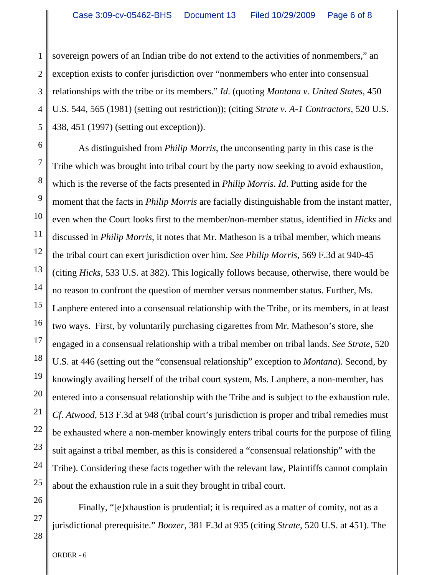1 2 3 4 5 sovereign powers of an Indian tribe do not extend to the activities of nonmembers," an exception exists to confer jurisdiction over "nonmembers who enter into consensual relationships with the tribe or its members." *Id*. (quoting *Montana v. United States*, 450 U.S. 544, 565 (1981) (setting out restriction)); (citing *Strate v. A-1 Contractors*, 520 U.S. 438, 451 (1997) (setting out exception)).

6 7 8 9 10 11 12 13 14 15 16 17 18 19 20 21 22 23 24 25 As distinguished from *Philip Morris*, the unconsenting party in this case is the Tribe which was brought into tribal court by the party now seeking to avoid exhaustion, which is the reverse of the facts presented in *Philip Morris*. *Id*. Putting aside for the moment that the facts in *Philip Morris* are facially distinguishable from the instant matter, even when the Court looks first to the member/non-member status, identified in *Hicks* and discussed in *Philip Morris*, it notes that Mr. Matheson is a tribal member, which means the tribal court can exert jurisdiction over him. *See Philip Morris*, 569 F.3d at 940-45 (citing *Hicks*, 533 U.S. at 382). This logically follows because, otherwise, there would be no reason to confront the question of member versus nonmember status. Further, Ms. Lanphere entered into a consensual relationship with the Tribe, or its members, in at least two ways. First, by voluntarily purchasing cigarettes from Mr. Matheson's store, she engaged in a consensual relationship with a tribal member on tribal lands. *See Strate*, 520 U.S. at 446 (setting out the "consensual relationship" exception to *Montana*). Second, by knowingly availing herself of the tribal court system, Ms. Lanphere, a non-member, has entered into a consensual relationship with the Tribe and is subject to the exhaustion rule. *Cf*. *Atwood*, 513 F.3d at 948 (tribal court's jurisdiction is proper and tribal remedies must be exhausted where a non-member knowingly enters tribal courts for the purpose of filing suit against a tribal member, as this is considered a "consensual relationship" with the Tribe). Considering these facts together with the relevant law, Plaintiffs cannot complain about the exhaustion rule in a suit they brought in tribal court.

Finally, "[e]xhaustion is prudential; it is required as a matter of comity, not as a jurisdictional prerequisite." *Boozer*, 381 F.3d at 935 (citing *Strate*, 520 U.S. at 451). The

27

<sup>28</sup>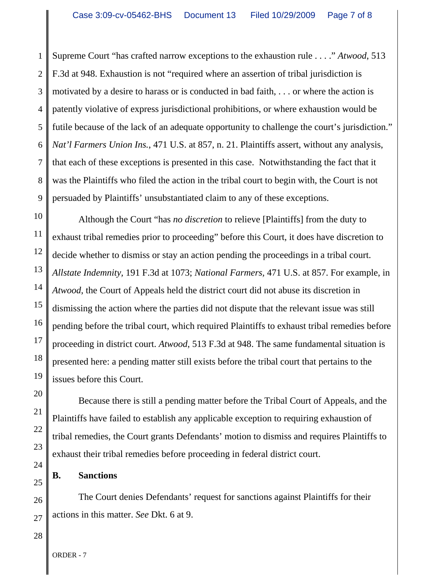1 2 3 4 5 6 7 8 9 Supreme Court "has crafted narrow exceptions to the exhaustion rule . . . ." *Atwood*, 513 F.3d at 948. Exhaustion is not "required where an assertion of tribal jurisdiction is motivated by a desire to harass or is conducted in bad faith, . . . or where the action is patently violative of express jurisdictional prohibitions, or where exhaustion would be futile because of the lack of an adequate opportunity to challenge the court's jurisdiction." *Nat'l Farmers Union Ins.*, 471 U.S. at 857, n. 21. Plaintiffs assert, without any analysis, that each of these exceptions is presented in this case. Notwithstanding the fact that it was the Plaintiffs who filed the action in the tribal court to begin with, the Court is not persuaded by Plaintiffs' unsubstantiated claim to any of these exceptions.

10 11 12 13 14 15 16 17 18 19 Although the Court "has *no discretion* to relieve [Plaintiffs] from the duty to exhaust tribal remedies prior to proceeding" before this Court, it does have discretion to decide whether to dismiss or stay an action pending the proceedings in a tribal court. *Allstate Indemnity,* 191 F.3d at 1073; *National Farmers,* 471 U.S. at 857. For example, in *Atwood*, the Court of Appeals held the district court did not abuse its discretion in dismissing the action where the parties did not dispute that the relevant issue was still pending before the tribal court, which required Plaintiffs to exhaust tribal remedies before proceeding in district court. *Atwood*, 513 F.3d at 948. The same fundamental situation is presented here: a pending matter still exists before the tribal court that pertains to the issues before this Court.

Because there is still a pending matter before the Tribal Court of Appeals, and the Plaintiffs have failed to establish any applicable exception to requiring exhaustion of tribal remedies, the Court grants Defendants' motion to dismiss and requires Plaintiffs to exhaust their tribal remedies before proceeding in federal district court.

## **B. Sanctions**

The Court denies Defendants' request for sanctions against Plaintiffs for their actions in this matter. *See* Dkt. 6 at 9.

28

20

21

22

23

24

25

26